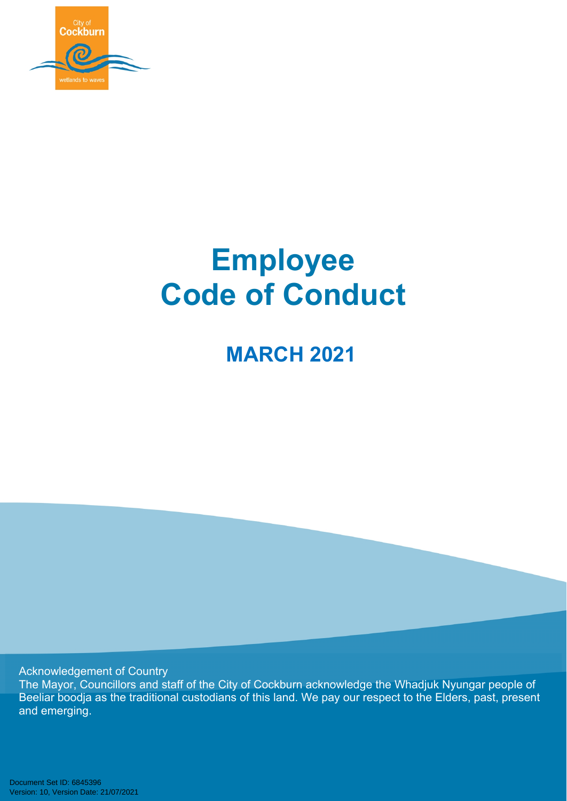

# **Employee Code of Conduct**

**MARCH 2021**

Acknowledgement of Country

The Mayor, Councillors and staff of the City of Cockburn acknowledge the Whadjuk Nyungar people of Beeliar boodja as the traditional custodians of this land. We pay our respect to the Elders, past, present and emerging.

Document Set ID: 6845396<br>Version: 10, Version Date: 21/07/2021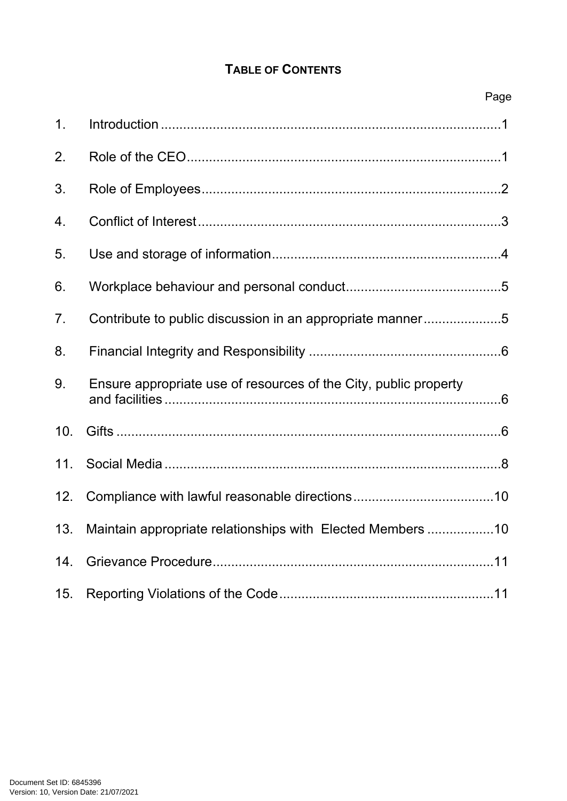# **TABLE OF CONTENTS**

|                | Page                                                             |
|----------------|------------------------------------------------------------------|
| 1 <sub>1</sub> |                                                                  |
| 2.             |                                                                  |
| 3.             |                                                                  |
| 4.             |                                                                  |
| 5.             |                                                                  |
| 6.             |                                                                  |
| 7 <sub>1</sub> | Contribute to public discussion in an appropriate manner5        |
| 8.             |                                                                  |
| 9.             | Ensure appropriate use of resources of the City, public property |
| 10.            |                                                                  |
|                |                                                                  |
| 12.            |                                                                  |
| 13.            | Maintain appropriate relationships with Elected Members 10       |
| 14.            |                                                                  |
| 15.            |                                                                  |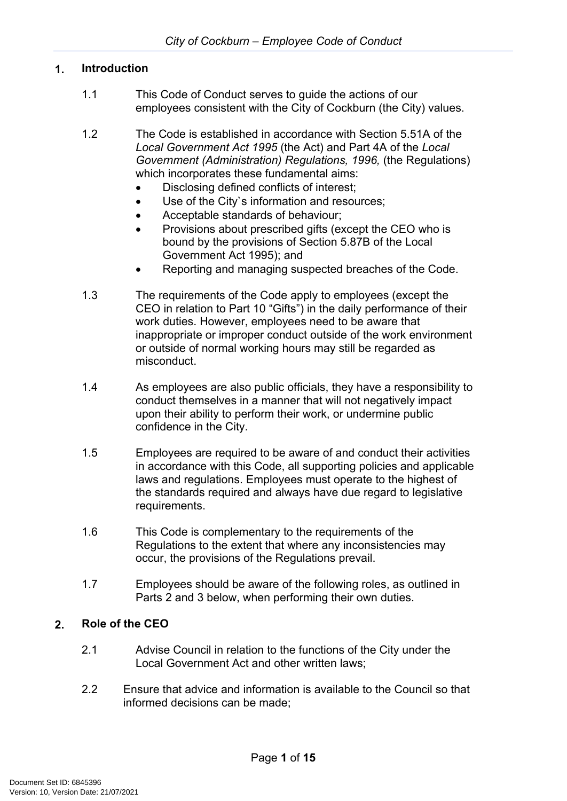#### <span id="page-2-0"></span>**1. Introduction**

- 1.1 This Code of Conduct serves to guide the actions of our employees consistent with the City of Cockburn (the City) values.
- 1.2 The Code is established in accordance with Section 5.51A of the *Local Government Act 1995* (the Act) and Part 4A of the *Local Government (Administration) Regulations, 1996,* (the Regulations) which incorporates these fundamental aims:
	- Disclosing defined conflicts of interest;
	- Use of the City's information and resources;
	- Acceptable standards of behaviour;
	- Provisions about prescribed gifts (except the CEO who is bound by the provisions of Section 5.87B of the Local Government Act 1995); and
	- Reporting and managing suspected breaches of the Code.
- 1.3 The requirements of the Code apply to employees (except the CEO in relation to Part 10 "Gifts") in the daily performance of their work duties. However, employees need to be aware that inappropriate or improper conduct outside of the work environment or outside of normal working hours may still be regarded as misconduct.
- 1.4 As employees are also public officials, they have a responsibility to conduct themselves in a manner that will not negatively impact upon their ability to perform their work, or undermine public confidence in the City.
- 1.5 Employees are required to be aware of and conduct their activities in accordance with this Code, all supporting policies and applicable laws and regulations. Employees must operate to the highest of the standards required and always have due regard to legislative requirements.
- 1.6 This Code is complementary to the requirements of the Regulations to the extent that where any inconsistencies may occur, the provisions of the Regulations prevail.
- 1.7 Employees should be aware of the following roles, as outlined in Parts 2 and 3 below, when performing their own duties.

#### <span id="page-2-1"></span>**2. Role of the CEO**

- 2.1 Advise Council in relation to the functions of the City under the Local Government Act and other written laws;
- 2.2 Ensure that advice and information is available to the Council so that informed decisions can be made;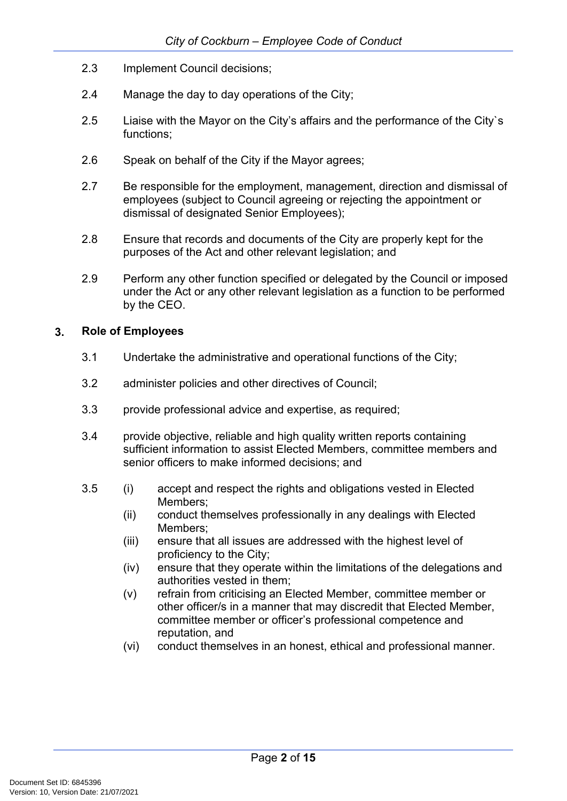- 2.3 Implement Council decisions;
- 2.4 Manage the day to day operations of the City;
- 2.5 Liaise with the Mayor on the City's affairs and the performance of the City`s functions;
- 2.6 Speak on behalf of the City if the Mayor agrees;
- 2.7 Be responsible for the employment, management, direction and dismissal of employees (subject to Council agreeing or rejecting the appointment or dismissal of designated Senior Employees);
- 2.8 Ensure that records and documents of the City are properly kept for the purposes of the Act and other relevant legislation; and
- 2.9 Perform any other function specified or delegated by the Council or imposed under the Act or any other relevant legislation as a function to be performed by the CEO.

#### <span id="page-3-0"></span>**3. Role of Employees**

- 3.1 Undertake the administrative and operational functions of the City;
- 3.2 administer policies and other directives of Council;
- 3.3 provide professional advice and expertise, as required;
- 3.4 provide objective, reliable and high quality written reports containing sufficient information to assist Elected Members, committee members and senior officers to make informed decisions; and
- 3.5 (i) accept and respect the rights and obligations vested in Elected Members;
	- (ii) conduct themselves professionally in any dealings with Elected Members;
	- (iii) ensure that all issues are addressed with the highest level of proficiency to the City;
	- (iv) ensure that they operate within the limitations of the delegations and authorities vested in them;
	- (v) refrain from criticising an Elected Member, committee member or other officer/s in a manner that may discredit that Elected Member, committee member or officer's professional competence and reputation, and
	- (vi) conduct themselves in an honest, ethical and professional manner.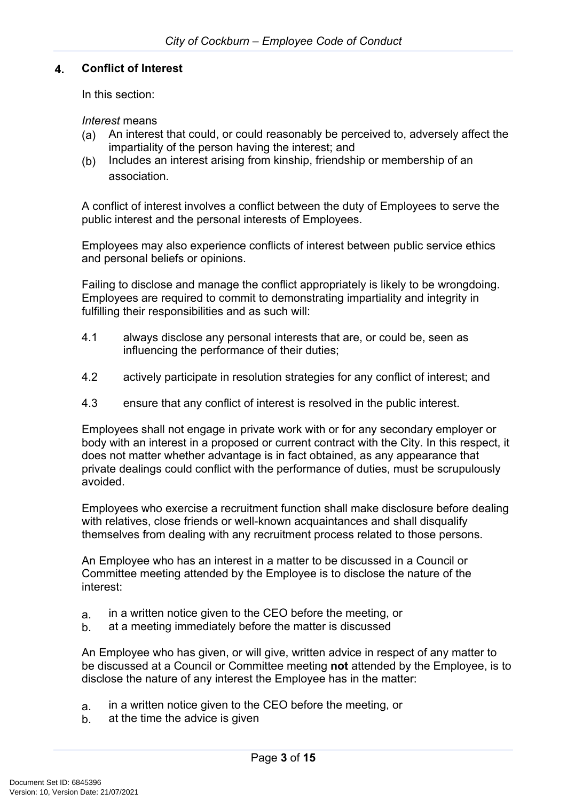#### <span id="page-4-0"></span>**4. Conflict of Interest**

In this section:

*Interest* means

- (a) An interest that could, or could reasonably be perceived to, adversely affect the impartiality of the person having the interest; and
- (b) Includes an interest arising from kinship, friendship or membership of an association.

A conflict of interest involves a conflict between the duty of Employees to serve the public interest and the personal interests of Employees.

Employees may also experience conflicts of interest between public service ethics and personal beliefs or opinions.

Failing to disclose and manage the conflict appropriately is likely to be wrongdoing. Employees are required to commit to demonstrating impartiality and integrity in fulfilling their responsibilities and as such will:

- 4.1 always disclose any personal interests that are, or could be, seen as influencing the performance of their duties;
- 4.2 actively participate in resolution strategies for any conflict of interest; and
- 4.3 ensure that any conflict of interest is resolved in the public interest.

Employees shall not engage in private work with or for any secondary employer or body with an interest in a proposed or current contract with the City. In this respect, it does not matter whether advantage is in fact obtained, as any appearance that private dealings could conflict with the performance of duties, must be scrupulously avoided.

Employees who exercise a recruitment function shall make disclosure before dealing with relatives, close friends or well-known acquaintances and shall disqualify themselves from dealing with any recruitment process related to those persons.

An Employee who has an interest in a matter to be discussed in a Council or Committee meeting attended by the Employee is to disclose the nature of the interest:

- a. in a written notice given to the CEO before the meeting, or
- b. at a meeting immediately before the matter is discussed

An Employee who has given, or will give, written advice in respect of any matter to be discussed at a Council or Committee meeting **not** attended by the Employee, is to disclose the nature of any interest the Employee has in the matter:

- a. in a written notice given to the CEO before the meeting, or
- b. at the time the advice is given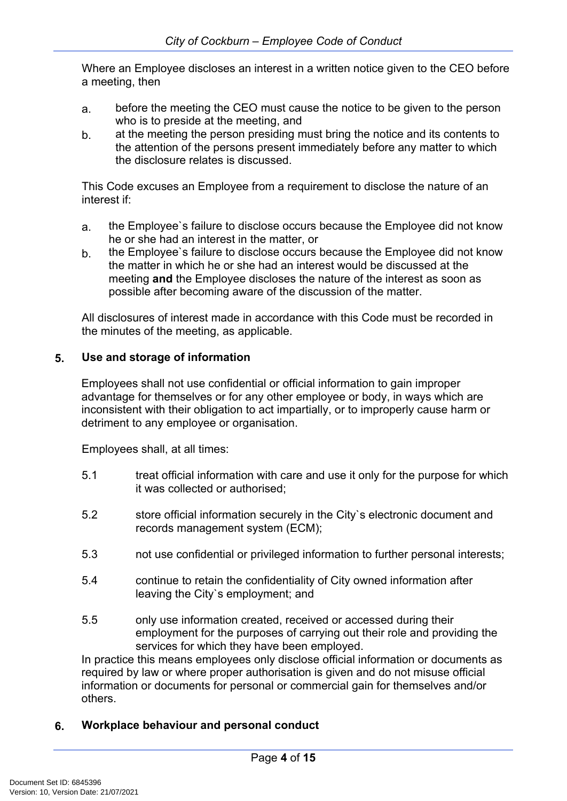Where an Employee discloses an interest in a written notice given to the CEO before a meeting, then

- a. before the meeting the CEO must cause the notice to be given to the person who is to preside at the meeting, and
- b. at the meeting the person presiding must bring the notice and its contents to the attention of the persons present immediately before any matter to which the disclosure relates is discussed.

This Code excuses an Employee from a requirement to disclose the nature of an interest if:

- a. the Employee`s failure to disclose occurs because the Employee did not know he or she had an interest in the matter, or
- b. the Employee`s failure to disclose occurs because the Employee did not know the matter in which he or she had an interest would be discussed at the meeting **and** the Employee discloses the nature of the interest as soon as possible after becoming aware of the discussion of the matter.

All disclosures of interest made in accordance with this Code must be recorded in the minutes of the meeting, as applicable.

### <span id="page-5-0"></span>**5. Use and storage of information**

Employees shall not use confidential or official information to gain improper advantage for themselves or for any other employee or body, in ways which are inconsistent with their obligation to act impartially, or to improperly cause harm or detriment to any employee or organisation.

Employees shall, at all times:

- 5.1 treat official information with care and use it only for the purpose for which it was collected or authorised;
- 5.2 store official information securely in the City`s electronic document and records management system (ECM);
- 5.3 not use confidential or privileged information to further personal interests;
- 5.4 continue to retain the confidentiality of City owned information after leaving the City`s employment; and
- 5.5 only use information created, received or accessed during their employment for the purposes of carrying out their role and providing the services for which they have been employed.

In practice this means employees only disclose official information or documents as required by law or where proper authorisation is given and do not misuse official information or documents for personal or commercial gain for themselves and/or others.

# <span id="page-5-1"></span>**6. Workplace behaviour and personal conduct**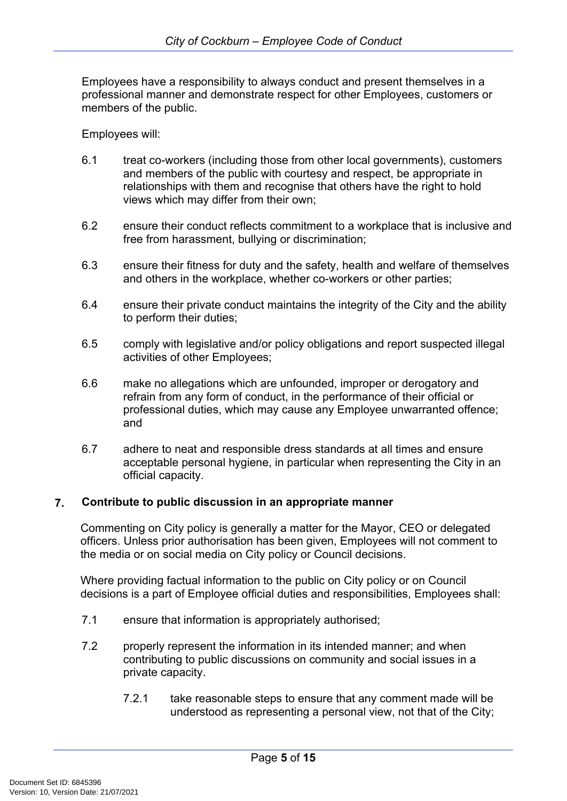Employees have a responsibility to always conduct and present themselves in a professional manner and demonstrate respect for other Employees, customers or members of the public.

Employees will:

- 6.1 treat co-workers (including those from other local governments), customers and members of the public with courtesy and respect, be appropriate in relationships with them and recognise that others have the right to hold views which may differ from their own;
- 6.2 ensure their conduct reflects commitment to a workplace that is inclusive and free from harassment, bullying or discrimination;
- 6.3 ensure their fitness for duty and the safety, health and welfare of themselves and others in the workplace, whether co-workers or other parties;
- 6.4 ensure their private conduct maintains the integrity of the City and the ability to perform their duties;
- 6.5 comply with legislative and/or policy obligations and report suspected illegal activities of other Employees;
- 6.6 make no allegations which are unfounded, improper or derogatory and refrain from any form of conduct, in the performance of their official or professional duties, which may cause any Employee unwarranted offence; and
- 6.7 adhere to neat and responsible dress standards at all times and ensure acceptable personal hygiene, in particular when representing the City in an official capacity.

#### <span id="page-6-0"></span>**7. Contribute to public discussion in an appropriate manner**

Commenting on City policy is generally a matter for the Mayor, CEO or delegated officers. Unless prior authorisation has been given, Employees will not comment to the media or on social media on City policy or Council decisions.

Where providing factual information to the public on City policy or on Council decisions is a part of Employee official duties and responsibilities, Employees shall:

- 7.1 ensure that information is appropriately authorised;
- 7.2 properly represent the information in its intended manner; and when contributing to public discussions on community and social issues in a private capacity.
	- 7.2.1 take reasonable steps to ensure that any comment made will be understood as representing a personal view, not that of the City;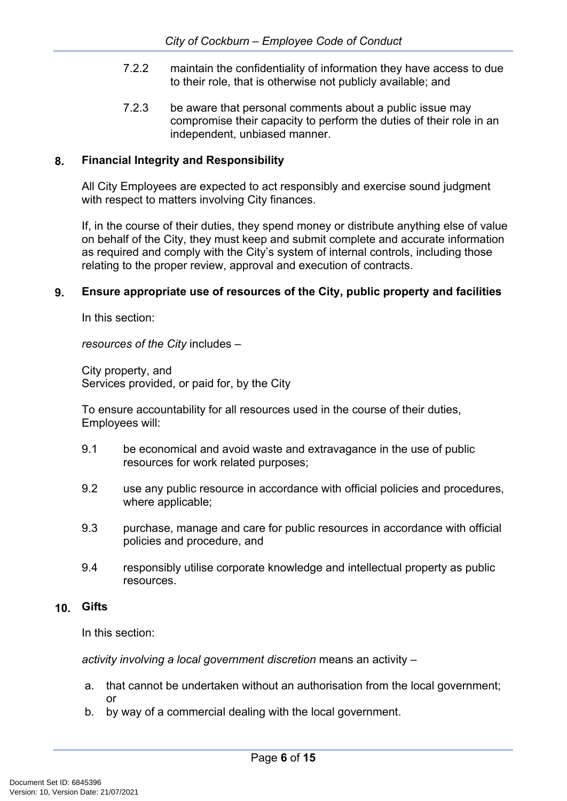- 7.2.2 maintain the confidentiality of information they have access to due to their role, that is otherwise not publicly available; and
- 7.2.3 be aware that personal comments about a public issue may compromise their capacity to perform the duties of their role in an independent, unbiased manner.

#### <span id="page-7-0"></span>**8. Financial Integrity and Responsibility**

All City Employees are expected to act responsibly and exercise sound judgment with respect to matters involving City finances.

If, in the course of their duties, they spend money or distribute anything else of value on behalf of the City, they must keep and submit complete and accurate information as required and comply with the City's system of internal controls, including those relating to the proper review, approval and execution of contracts.

#### <span id="page-7-1"></span>**9. Ensure appropriate use of resources of the City, public property and facilities**

In this section:

*resources of the City* includes –

City property, and Services provided, or paid for, by the City

To ensure accountability for all resources used in the course of their duties, Employees will:

- 9.1 be economical and avoid waste and extravagance in the use of public resources for work related purposes;
- 9.2 use any public resource in accordance with official policies and procedures, where applicable;
- 9.3 purchase, manage and care for public resources in accordance with official policies and procedure, and
- 9.4 responsibly utilise corporate knowledge and intellectual property as public resources.

#### <span id="page-7-2"></span>**10. Gifts**

In this section:

*activity involving a local government discretion* means an activity –

- a. that cannot be undertaken without an authorisation from the local government; or
- b. by way of a commercial dealing with the local government.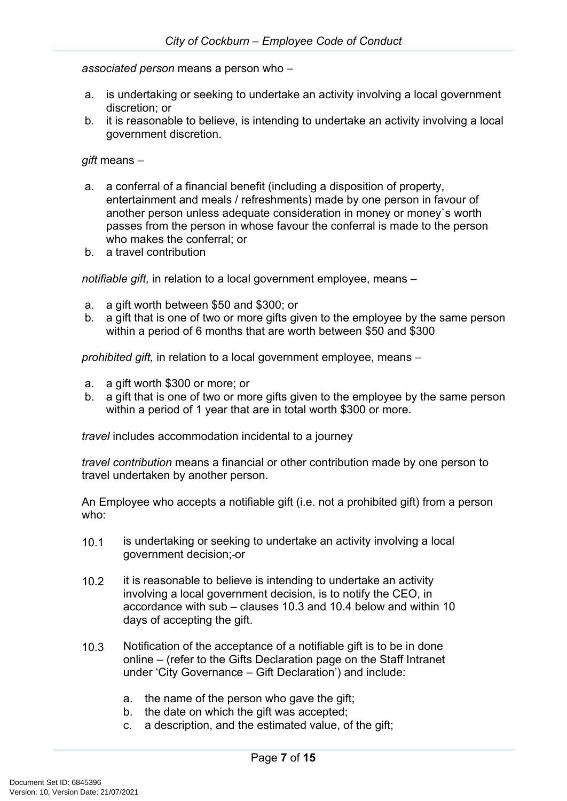*associated person* means a person who –

- a. is undertaking or seeking to undertake an activity involving a local government discretion; or
- b. it is reasonable to believe, is intending to undertake an activity involving a local government discretion.

*gift* means –

- a. a conferral of a financial benefit (including a disposition of property, entertainment and meals / refreshments) made by one person in favour of another person unless adequate consideration in money or money`s worth passes from the person in whose favour the conferral is made to the person who makes the conferral; or
- b. a travel contribution

*notifiable gift,* in relation to a local government employee, means –

- a. a gift worth between \$50 and \$300; or
- b. a gift that is one of two or more gifts given to the employee by the same person within a period of 6 months that are worth between \$50 and \$300

*prohibited gift,* in relation to a local government employee, means –

- a. a gift worth \$300 or more; or
- b. a gift that is one of two or more gifts given to the employee by the same person within a period of 1 year that are in total worth \$300 or more.

*travel* includes accommodation incidental to a journey

*travel contribution* means a financial or other contribution made by one person to travel undertaken by another person.

An Employee who accepts a notifiable gift (i.e. not a prohibited gift) from a person who:

- 10.1 is undertaking or seeking to undertake an activity involving a local government decision; or
- 10.2 it is reasonable to believe is intending to undertake an activity involving a local government decision, is to notify the CEO, in accordance with sub – clauses 10.3 and 10.4 below and within 10 days of accepting the gift.
- 10.3 Notification of the acceptance of a notifiable gift is to be in done online – (refer to the Gifts Declaration page on the Staff Intranet under 'City Governance – Gift Declaration') and include:
	- a. the name of the person who gave the gift;
	- b. the date on which the gift was accepted;
	- c. a description, and the estimated value, of the gift;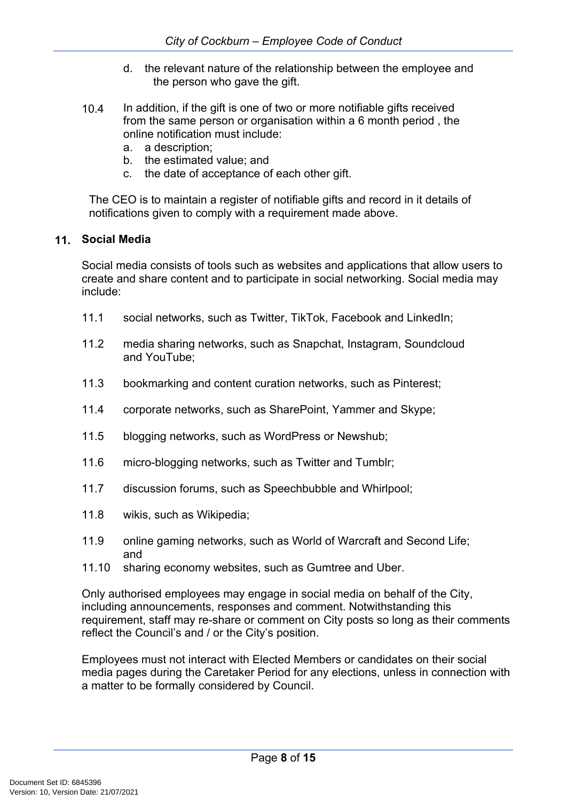- d. the relevant nature of the relationship between the employee and the person who gave the gift.
- 10.4 In addition, if the gift is one of two or more notifiable gifts received from the same person or organisation within a 6 month period , the online notification must include:
	- a. a description;
	- b. the estimated value; and
	- c. the date of acceptance of each other gift.

The CEO is to maintain a register of notifiable gifts and record in it details of notifications given to comply with a requirement made above.

#### <span id="page-9-0"></span>**11. Social Media**

Social media consists of tools such as websites and applications that allow users to create and share content and to participate in social networking. Social media may include:

- 11.1 social networks, such as Twitter, TikTok, Facebook and LinkedIn;
- 11.2 media sharing networks, such as Snapchat, Instagram, Soundcloud and YouTube;
- 11.3 bookmarking and content curation networks, such as Pinterest;
- 11.4 corporate networks, such as SharePoint, Yammer and Skype;
- 11.5 blogging networks, such as WordPress or Newshub;
- 11.6 micro-blogging networks, such as Twitter and Tumblr;
- 11.7 discussion forums, such as Speechbubble and Whirlpool;
- 11.8 wikis, such as Wikipedia;
- 11.9 online gaming networks, such as World of Warcraft and Second Life; and
- 11.10 sharing economy websites, such as Gumtree and Uber.

Only authorised employees may engage in social media on behalf of the City, including announcements, responses and comment. Notwithstanding this requirement, staff may re-share or comment on City posts so long as their comments reflect the Council's and / or the City's position.

Employees must not interact with Elected Members or candidates on their social media pages during the Caretaker Period for any elections, unless in connection with a matter to be formally considered by Council.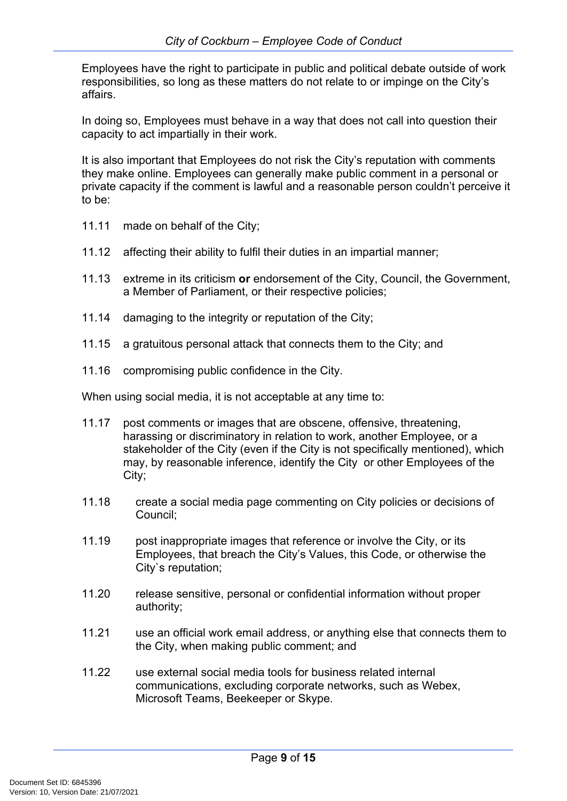Employees have the right to participate in public and political debate outside of work responsibilities, so long as these matters do not relate to or impinge on the City's affairs.

In doing so, Employees must behave in a way that does not call into question their capacity to act impartially in their work.

It is also important that Employees do not risk the City's reputation with comments they make online. Employees can generally make public comment in a personal or private capacity if the comment is lawful and a reasonable person couldn't perceive it to be:

- 11.11 made on behalf of the City;
- 11.12 affecting their ability to fulfil their duties in an impartial manner;
- 11.13 extreme in its criticism **or** endorsement of the City, Council, the Government, a Member of Parliament, or their respective policies;
- 11.14 damaging to the integrity or reputation of the City;
- 11.15 a gratuitous personal attack that connects them to the City; and
- 11.16 compromising public confidence in the City.

When using social media, it is not acceptable at any time to:

- 11.17 post comments or images that are obscene, offensive, threatening, harassing or discriminatory in relation to work, another Employee, or a stakeholder of the City (even if the City is not specifically mentioned), which may, by reasonable inference, identify the City or other Employees of the City;
- 11.18 create a social media page commenting on City policies or decisions of Council;
- 11.19 post inappropriate images that reference or involve the City, or its Employees, that breach the City's Values, this Code, or otherwise the City`s reputation;
- 11.20 release sensitive, personal or confidential information without proper authority;
- 11.21 use an official work email address, or anything else that connects them to the City, when making public comment; and
- 11.22 use external social media tools for business related internal communications, excluding corporate networks, such as Webex, Microsoft Teams, Beekeeper or Skype.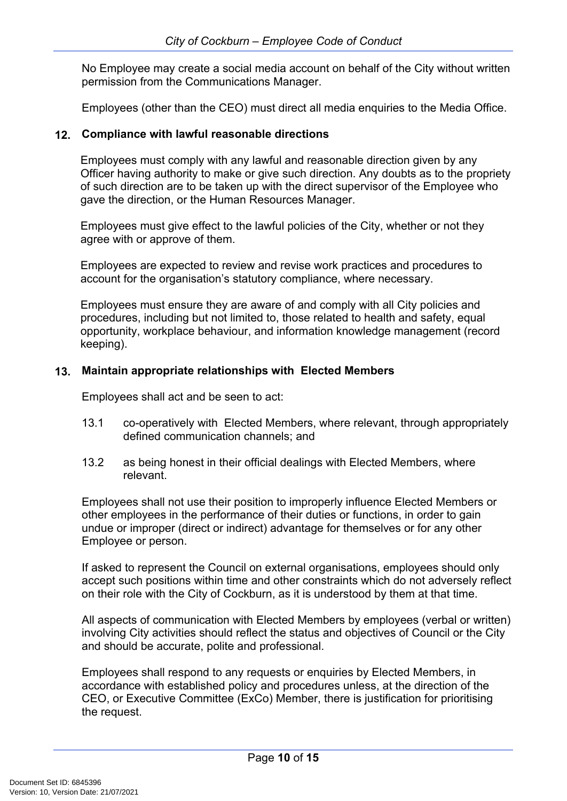No Employee may create a social media account on behalf of the City without written permission from the Communications Manager.

Employees (other than the CEO) must direct all media enquiries to the Media Office.

#### <span id="page-11-0"></span>**12. Compliance with lawful reasonable directions**

Employees must comply with any lawful and reasonable direction given by any Officer having authority to make or give such direction. Any doubts as to the propriety of such direction are to be taken up with the direct supervisor of the Employee who gave the direction, or the Human Resources Manager.

Employees must give effect to the lawful policies of the City, whether or not they agree with or approve of them.

Employees are expected to review and revise work practices and procedures to account for the organisation's statutory compliance, where necessary.

Employees must ensure they are aware of and comply with all City policies and procedures, including but not limited to, those related to health and safety, equal opportunity, workplace behaviour, and information knowledge management (record keeping).

#### <span id="page-11-1"></span>**13. Maintain appropriate relationships with Elected Members**

Employees shall act and be seen to act:

- 13.1 co-operatively with Elected Members, where relevant, through appropriately defined communication channels; and
- 13.2 as being honest in their official dealings with Elected Members, where relevant.

Employees shall not use their position to improperly influence Elected Members or other employees in the performance of their duties or functions, in order to gain undue or improper (direct or indirect) advantage for themselves or for any other Employee or person.

If asked to represent the Council on external organisations, employees should only accept such positions within time and other constraints which do not adversely reflect on their role with the City of Cockburn, as it is understood by them at that time.

All aspects of communication with Elected Members by employees (verbal or written) involving City activities should reflect the status and objectives of Council or the City and should be accurate, polite and professional.

Employees shall respond to any requests or enquiries by Elected Members, in accordance with established policy and procedures unless, at the direction of the CEO, or Executive Committee (ExCo) Member, there is justification for prioritising the request.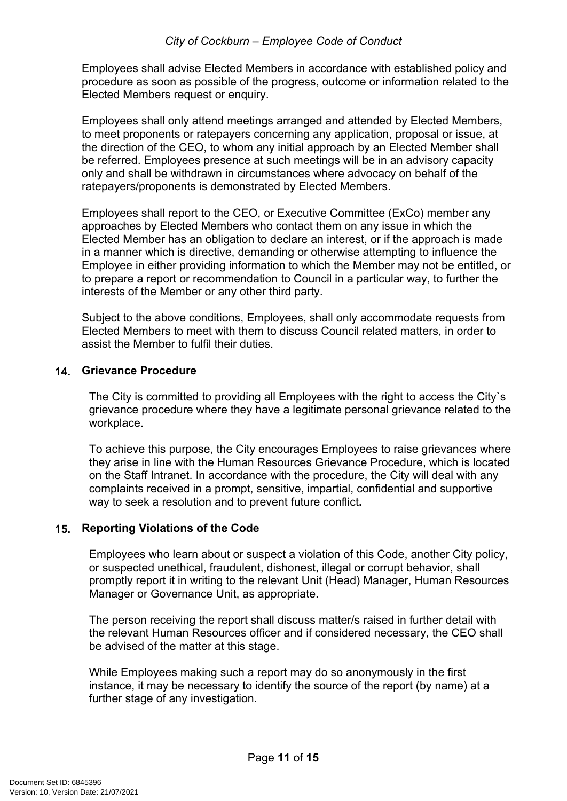Employees shall advise Elected Members in accordance with established policy and procedure as soon as possible of the progress, outcome or information related to the Elected Members request or enquiry.

Employees shall only attend meetings arranged and attended by Elected Members, to meet proponents or ratepayers concerning any application, proposal or issue, at the direction of the CEO, to whom any initial approach by an Elected Member shall be referred. Employees presence at such meetings will be in an advisory capacity only and shall be withdrawn in circumstances where advocacy on behalf of the ratepayers/proponents is demonstrated by Elected Members.

Employees shall report to the CEO, or Executive Committee (ExCo) member any approaches by Elected Members who contact them on any issue in which the Elected Member has an obligation to declare an interest, or if the approach is made in a manner which is directive, demanding or otherwise attempting to influence the Employee in either providing information to which the Member may not be entitled, or to prepare a report or recommendation to Council in a particular way, to further the interests of the Member or any other third party.

Subject to the above conditions, Employees, shall only accommodate requests from Elected Members to meet with them to discuss Council related matters, in order to assist the Member to fulfil their duties.

#### <span id="page-12-0"></span>**14. Grievance Procedure**

The City is committed to providing all Employees with the right to access the City`s grievance procedure where they have a legitimate personal grievance related to the workplace.

To achieve this purpose, the City encourages Employees to raise grievances where they arise in line with the Human Resources Grievance Procedure, which is located on the Staff Intranet. In accordance with the procedure, the City will deal with any complaints received in a prompt, sensitive, impartial, confidential and supportive way to seek a resolution and to prevent future conflict**.**

#### <span id="page-12-1"></span>**15. Reporting Violations of the Code**

Employees who learn about or suspect a violation of this Code, another City policy, or suspected unethical, fraudulent, dishonest, illegal or corrupt behavior, shall promptly report it in writing to the relevant Unit (Head) Manager, Human Resources Manager or Governance Unit, as appropriate.

The person receiving the report shall discuss matter/s raised in further detail with the relevant Human Resources officer and if considered necessary, the CEO shall be advised of the matter at this stage.

While Employees making such a report may do so anonymously in the first instance, it may be necessary to identify the source of the report (by name) at a further stage of any investigation.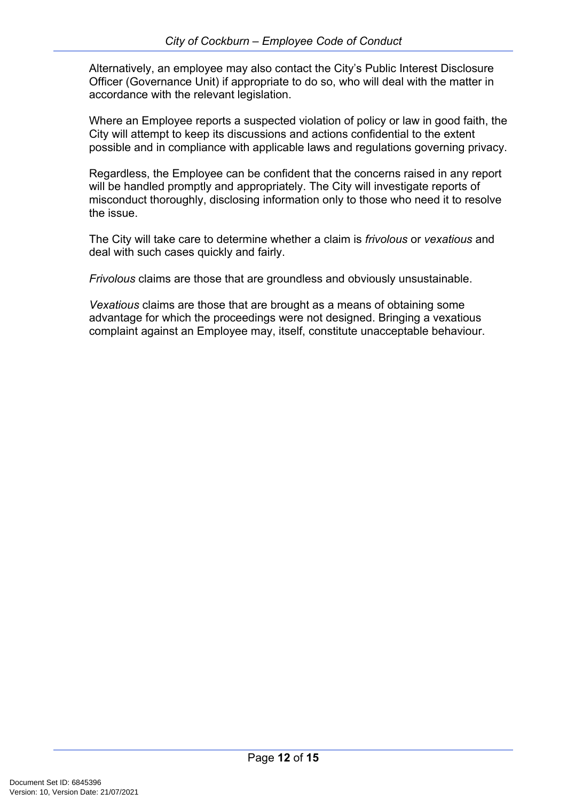Alternatively, an employee may also contact the City's Public Interest Disclosure Officer (Governance Unit) if appropriate to do so, who will deal with the matter in accordance with the relevant legislation.

Where an Employee reports a suspected violation of policy or law in good faith, the City will attempt to keep its discussions and actions confidential to the extent possible and in compliance with applicable laws and regulations governing privacy.

Regardless, the Employee can be confident that the concerns raised in any report will be handled promptly and appropriately. The City will investigate reports of misconduct thoroughly, disclosing information only to those who need it to resolve the issue.

The City will take care to determine whether a claim is *frivolous* or *vexatious* and deal with such cases quickly and fairly.

*Frivolous* claims are those that are groundless and obviously unsustainable.

*Vexatious* claims are those that are brought as a means of obtaining some advantage for which the proceedings were not designed. Bringing a vexatious complaint against an Employee may, itself, constitute unacceptable behaviour.